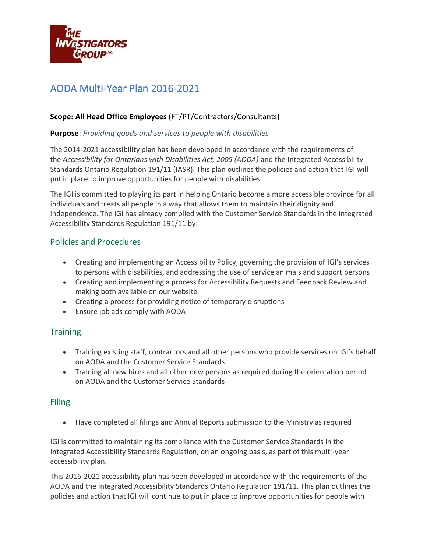

# AODA Multi-Year Plan 2016-2021

#### **Scope: All Head Office Employees** (FT/PT/Contractors/Consultants)

#### **Purpose**: *Providing goods and services to people with disabilities*

The 2014-2021 accessibility plan has been developed in accordance with the requirements of the *Accessibility for Ontarians with Disabilities Act, 2005 (AODA)* and the Integrated Accessibility Standards Ontario Regulation 191/11 (IASR). This plan outlines the policies and action that IGI will put in place to improve opportunities for people with disabilities.

The IGI is committed to playing its part in helping Ontario become a more accessible province for all individuals and treats all people in a way that allows them to maintain their dignity and independence. The IGI has already complied with the Customer Service Standards in the Integrated Accessibility Standards Regulation 191/11 by:

### Policies and Procedures

- Creating and implementing an Accessibility Policy, governing the provision of IGI's services to persons with disabilities, and addressing the use of service animals and support persons
- Creating and implementing a process for Accessibility Requests and Feedback Review and making both available on our website
- Creating a process for providing notice of temporary disruptions
- Ensure job ads comply with AODA

## **Training**

- Training existing staff, contractors and all other persons who provide services on IGI's behalf on AODA and the Customer Service Standards
- Training all new hires and all other new persons as required during the orientation period on AODA and the Customer Service Standards

#### Filing

• Have completed all filings and Annual Reports submission to the Ministry as required

IGI is committed to maintaining its compliance with the Customer Service Standards in the Integrated Accessibility Standards Regulation, on an ongoing basis, as part of this multi-year accessibility plan.

This 2016-2021 accessibility plan has been developed in accordance with the requirements of the AODA and the Integrated Accessibility Standards Ontario Regulation 191/11. This plan outlines the policies and action that IGI will continue to put in place to improve opportunities for people with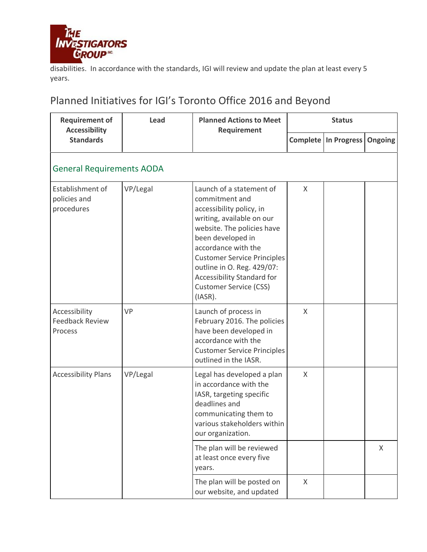

disabilities. In accordance with the standards, IGI will review and update the plan at least every 5 years.

# Planned Initiatives for IGI's Toronto Office 2016 and Beyond

| <b>Requirement of</b><br><b>Accessibility</b><br><b>Standards</b> | Lead     | <b>Planned Actions to Meet</b><br>Requirement                                                                                                                                                                                                                                                                                  | <b>Status</b> |                               |                |
|-------------------------------------------------------------------|----------|--------------------------------------------------------------------------------------------------------------------------------------------------------------------------------------------------------------------------------------------------------------------------------------------------------------------------------|---------------|-------------------------------|----------------|
|                                                                   |          |                                                                                                                                                                                                                                                                                                                                |               | <b>Complete   In Progress</b> | <b>Ongoing</b> |
| <b>General Requirements AODA</b>                                  |          |                                                                                                                                                                                                                                                                                                                                |               |                               |                |
| Establishment of<br>policies and<br>procedures                    | VP/Legal | Launch of a statement of<br>commitment and<br>accessibility policy, in<br>writing, available on our<br>website. The policies have<br>been developed in<br>accordance with the<br><b>Customer Service Principles</b><br>outline in O. Reg. 429/07:<br>Accessibility Standard for<br><b>Customer Service (CSS)</b><br>$(IASR)$ . | $\mathsf{X}$  |                               |                |
| Accessibility<br><b>Feedback Review</b><br>Process                | VP       | Launch of process in<br>February 2016. The policies<br>have been developed in<br>accordance with the<br><b>Customer Service Principles</b><br>outlined in the IASR.                                                                                                                                                            | $\mathsf{X}$  |                               |                |
| <b>Accessibility Plans</b>                                        | VP/Legal | Legal has developed a plan<br>in accordance with the<br>IASR, targeting specific<br>deadlines and<br>communicating them to<br>various stakeholders within<br>our organization.                                                                                                                                                 | $\mathsf{X}$  |                               |                |
|                                                                   |          | The plan will be reviewed<br>at least once every five<br>years.                                                                                                                                                                                                                                                                |               |                               | X              |
|                                                                   |          | The plan will be posted on<br>our website, and updated                                                                                                                                                                                                                                                                         | X             |                               |                |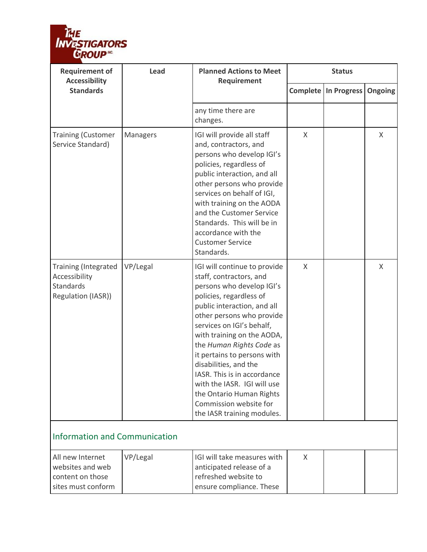

| <b>Requirement of</b><br><b>Accessibility</b>                                   | Lead                                 | <b>Planned Actions to Meet</b><br>Requirement                                                                                                                                                                                                                                                                                                                                                                                                                                | <b>Status</b> |                                         |   |  |
|---------------------------------------------------------------------------------|--------------------------------------|------------------------------------------------------------------------------------------------------------------------------------------------------------------------------------------------------------------------------------------------------------------------------------------------------------------------------------------------------------------------------------------------------------------------------------------------------------------------------|---------------|-----------------------------------------|---|--|
| <b>Standards</b>                                                                |                                      |                                                                                                                                                                                                                                                                                                                                                                                                                                                                              |               | <b>Complete   In Progress   Ongoing</b> |   |  |
|                                                                                 |                                      | any time there are<br>changes.                                                                                                                                                                                                                                                                                                                                                                                                                                               |               |                                         |   |  |
| <b>Training (Customer</b><br>Service Standard)                                  | Managers                             | IGI will provide all staff<br>and, contractors, and<br>persons who develop IGI's<br>policies, regardless of<br>public interaction, and all<br>other persons who provide<br>services on behalf of IGI,<br>with training on the AODA<br>and the Customer Service<br>Standards. This will be in<br>accordance with the<br><b>Customer Service</b><br>Standards.                                                                                                                 | $\mathsf{X}$  |                                         | X |  |
| Training (Integrated<br>Accessibility<br><b>Standards</b><br>Regulation (IASR)) | VP/Legal                             | IGI will continue to provide<br>staff, contractors, and<br>persons who develop IGI's<br>policies, regardless of<br>public interaction, and all<br>other persons who provide<br>services on IGI's behalf,<br>with training on the AODA,<br>the Human Rights Code as<br>it pertains to persons with<br>disabilities, and the<br>JASR. This is in accordance<br>with the IASR. IGI will use<br>the Ontario Human Rights<br>Commission website for<br>the IASR training modules. | X             |                                         | X |  |
|                                                                                 | <b>Information and Communication</b> |                                                                                                                                                                                                                                                                                                                                                                                                                                                                              |               |                                         |   |  |
| All new Internet<br>websites and web<br>content on those<br>sites must conform  | VP/Legal                             | IGI will take measures with<br>anticipated release of a<br>refreshed website to<br>ensure compliance. These                                                                                                                                                                                                                                                                                                                                                                  | X             |                                         |   |  |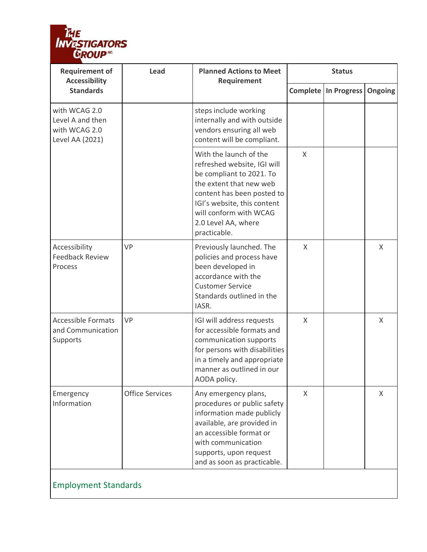

| <b>Requirement of</b><br><b>Accessibility</b>                         | <b>Lead</b>            | <b>Planned Actions to Meet</b><br>Requirement                                                                                                                                                                                              | <b>Status</b> |                               |                |  |  |
|-----------------------------------------------------------------------|------------------------|--------------------------------------------------------------------------------------------------------------------------------------------------------------------------------------------------------------------------------------------|---------------|-------------------------------|----------------|--|--|
| <b>Standards</b>                                                      |                        |                                                                                                                                                                                                                                            |               | <b>Complete   In Progress</b> | <b>Ongoing</b> |  |  |
| with WCAG 2.0<br>Level A and then<br>with WCAG 2.0<br>Level AA (2021) |                        | steps include working<br>internally and with outside<br>vendors ensuring all web<br>content will be compliant.                                                                                                                             |               |                               |                |  |  |
|                                                                       |                        | With the launch of the<br>refreshed website, IGI will<br>be compliant to 2021. To<br>the extent that new web<br>content has been posted to<br>IGI's website, this content<br>will conform with WCAG<br>2.0 Level AA, where<br>practicable. | X             |                               |                |  |  |
| Accessibility<br><b>Feedback Review</b><br>Process                    | VP                     | Previously launched. The<br>policies and process have<br>been developed in<br>accordance with the<br><b>Customer Service</b><br>Standards outlined in the<br>IASR.                                                                         | $\chi$        |                               | X              |  |  |
| <b>Accessible Formats</b><br>and Communication<br>Supports            | <b>VP</b>              | IGI will address requests<br>for accessible formats and<br>communication supports<br>for persons with disabilities<br>in a timely and appropriate<br>manner as outlined in our<br>AODA policy.                                             | X             |                               | X              |  |  |
| Emergency<br>Information                                              | <b>Office Services</b> | Any emergency plans,<br>procedures or public safety<br>information made publicly<br>available, are provided in<br>an accessible format or<br>with communication<br>supports, upon request<br>and as soon as practicable.                   | $\chi$        |                               | X              |  |  |
| <b>Employment Standards</b>                                           |                        |                                                                                                                                                                                                                                            |               |                               |                |  |  |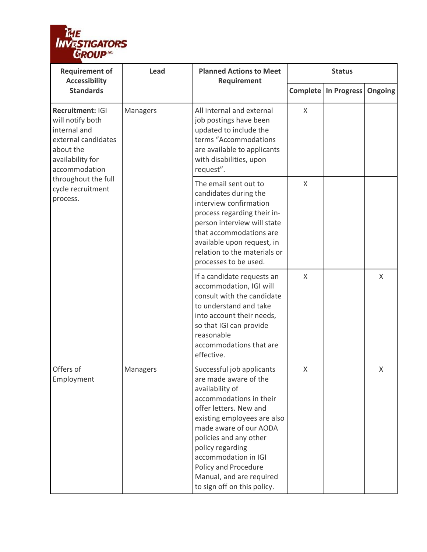

| <b>Requirement of</b><br><b>Accessibility</b>                                                                                                                                         | Lead     | <b>Planned Actions to Meet</b><br>Requirement                                                                                                                                                                                                                                                                                                | <b>Status</b> |                               |                |
|---------------------------------------------------------------------------------------------------------------------------------------------------------------------------------------|----------|----------------------------------------------------------------------------------------------------------------------------------------------------------------------------------------------------------------------------------------------------------------------------------------------------------------------------------------------|---------------|-------------------------------|----------------|
| <b>Standards</b>                                                                                                                                                                      |          |                                                                                                                                                                                                                                                                                                                                              |               | <b>Complete   In Progress</b> | <b>Ongoing</b> |
| Recruitment: IGI<br>will notify both<br>internal and<br>external candidates<br>about the<br>availability for<br>accommodation<br>throughout the full<br>cycle recruitment<br>process. | Managers | All internal and external<br>job postings have been<br>updated to include the<br>terms "Accommodations<br>are available to applicants<br>with disabilities, upon<br>request".                                                                                                                                                                | $\sf X$       |                               |                |
|                                                                                                                                                                                       |          | The email sent out to<br>candidates during the<br>interview confirmation<br>process regarding their in-<br>person interview will state<br>that accommodations are<br>available upon request, in<br>relation to the materials or<br>processes to be used.                                                                                     | $\sf X$       |                               |                |
|                                                                                                                                                                                       |          | If a candidate requests an<br>accommodation, IGI will<br>consult with the candidate<br>to understand and take<br>into account their needs,<br>so that IGI can provide<br>reasonable<br>accommodations that are<br>effective.                                                                                                                 | X             |                               | X              |
| Offers of<br>Employment                                                                                                                                                               | Managers | Successful job applicants<br>are made aware of the<br>availability of<br>accommodations in their<br>offer letters. New and<br>existing employees are also<br>made aware of our AODA<br>policies and any other<br>policy regarding<br>accommodation in IGI<br>Policy and Procedure<br>Manual, and are required<br>to sign off on this policy. | X             |                               | X              |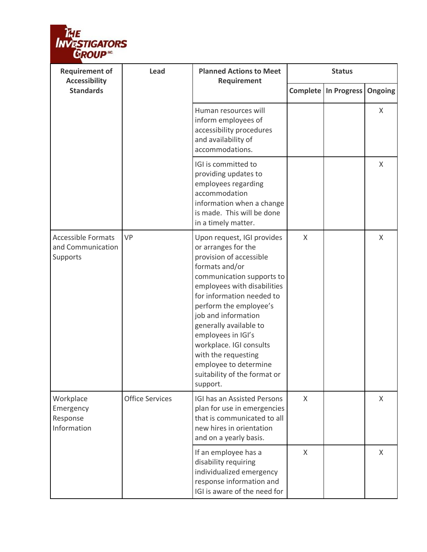

| <b>Requirement of</b><br><b>Accessibility</b>              | <b>Lead</b>            | <b>Planned Actions to Meet</b><br>Requirement                                                                                                                                                                                                                                                                                                                                                                   |              | <b>Status</b>          |                |
|------------------------------------------------------------|------------------------|-----------------------------------------------------------------------------------------------------------------------------------------------------------------------------------------------------------------------------------------------------------------------------------------------------------------------------------------------------------------------------------------------------------------|--------------|------------------------|----------------|
| <b>Standards</b>                                           |                        |                                                                                                                                                                                                                                                                                                                                                                                                                 |              | Complete   In Progress | <b>Ongoing</b> |
|                                                            |                        | Human resources will<br>inform employees of<br>accessibility procedures<br>and availability of<br>accommodations.                                                                                                                                                                                                                                                                                               |              |                        | X              |
|                                                            |                        | IGI is committed to<br>providing updates to<br>employees regarding<br>accommodation<br>information when a change<br>is made. This will be done<br>in a timely matter.                                                                                                                                                                                                                                           |              |                        | X              |
| <b>Accessible Formats</b><br>and Communication<br>Supports | VP                     | Upon request, IGI provides<br>or arranges for the<br>provision of accessible<br>formats and/or<br>communication supports to<br>employees with disabilities<br>for information needed to<br>perform the employee's<br>job and information<br>generally available to<br>employees in IGI's<br>workplace. IGI consults<br>with the requesting<br>employee to determine<br>suitability of the format or<br>support. | $\chi$       |                        | X              |
| Workplace<br>Emergency<br>Response<br>Information          | <b>Office Services</b> | IGI has an Assisted Persons<br>plan for use in emergencies<br>that is communicated to all<br>new hires in orientation<br>and on a yearly basis.                                                                                                                                                                                                                                                                 | $\mathsf{X}$ |                        | X              |
|                                                            |                        | If an employee has a<br>disability requiring<br>individualized emergency<br>response information and<br>IGI is aware of the need for                                                                                                                                                                                                                                                                            | X            |                        | X              |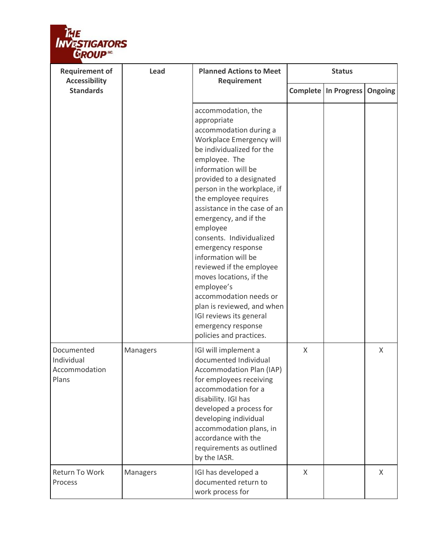

| <b>Requirement of</b><br><b>Accessibility</b>      | Lead     | <b>Planned Actions to Meet</b><br>Requirement                                                                                                                                                                                                                                                                                                                                                                                                                                                                                                                                                           |              | <b>Status</b>                       |   |
|----------------------------------------------------|----------|---------------------------------------------------------------------------------------------------------------------------------------------------------------------------------------------------------------------------------------------------------------------------------------------------------------------------------------------------------------------------------------------------------------------------------------------------------------------------------------------------------------------------------------------------------------------------------------------------------|--------------|-------------------------------------|---|
| <b>Standards</b>                                   |          |                                                                                                                                                                                                                                                                                                                                                                                                                                                                                                                                                                                                         |              | <b>Complete In Progress Ongoing</b> |   |
|                                                    |          | accommodation, the<br>appropriate<br>accommodation during a<br>Workplace Emergency will<br>be individualized for the<br>employee. The<br>information will be<br>provided to a designated<br>person in the workplace, if<br>the employee requires<br>assistance in the case of an<br>emergency, and if the<br>employee<br>consents. Individualized<br>emergency response<br>information will be<br>reviewed if the employee<br>moves locations, if the<br>employee's<br>accommodation needs or<br>plan is reviewed, and when<br>IGI reviews its general<br>emergency response<br>policies and practices. |              |                                     |   |
| Documented<br>Individual<br>Accommodation<br>Plans | Managers | IGI will implement a<br>documented Individual<br>Accommodation Plan (IAP)<br>for employees receiving<br>accommodation for a<br>disability. IGI has<br>developed a process for<br>developing individual<br>accommodation plans, in<br>accordance with the<br>requirements as outlined<br>by the IASR.                                                                                                                                                                                                                                                                                                    | $\mathsf{X}$ |                                     | X |
| Return To Work<br>Process                          | Managers | IGI has developed a<br>documented return to<br>work process for                                                                                                                                                                                                                                                                                                                                                                                                                                                                                                                                         | X            |                                     | X |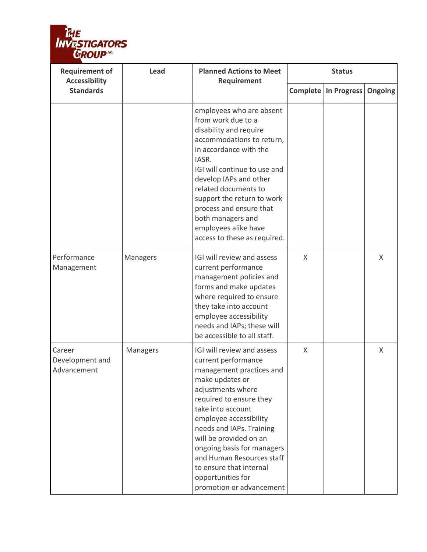

| <b>Requirement of</b><br><b>Accessibility</b> | <b>Lead</b> | <b>Planned Actions to Meet</b><br>Requirement                                                                                                                                                                                                                                                                                                                                                |         | <b>Status</b>          |                |
|-----------------------------------------------|-------------|----------------------------------------------------------------------------------------------------------------------------------------------------------------------------------------------------------------------------------------------------------------------------------------------------------------------------------------------------------------------------------------------|---------|------------------------|----------------|
| <b>Standards</b>                              |             |                                                                                                                                                                                                                                                                                                                                                                                              |         | Complete   In Progress | <b>Ongoing</b> |
|                                               |             | employees who are absent<br>from work due to a<br>disability and require<br>accommodations to return,<br>in accordance with the<br>IASR.<br>IGI will continue to use and<br>develop IAPs and other<br>related documents to<br>support the return to work<br>process and ensure that<br>both managers and<br>employees alike have<br>access to these as required.                             |         |                        |                |
| Performance<br>Management                     | Managers    | IGI will review and assess<br>current performance<br>management policies and<br>forms and make updates<br>where required to ensure<br>they take into account<br>employee accessibility<br>needs and IAPs; these will<br>be accessible to all staff.                                                                                                                                          | $\chi$  |                        | X              |
| Career<br>Development and<br>Advancement      | Managers    | IGI will review and assess<br>current performance<br>management practices and<br>make updates or<br>adjustments where<br>required to ensure they<br>take into account<br>employee accessibility<br>needs and IAPs. Training<br>will be provided on an<br>ongoing basis for managers<br>and Human Resources staff<br>to ensure that internal<br>opportunities for<br>promotion or advancement | $\sf X$ |                        | X              |